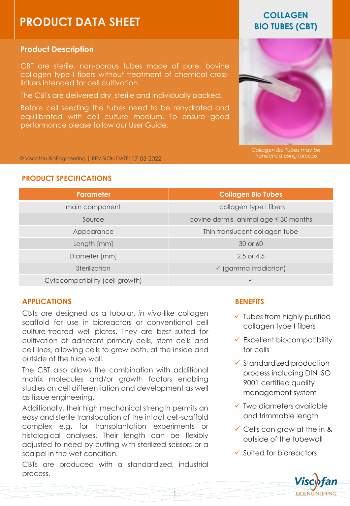# **PRODUCT DATA SHEET**

# **Product Description**

CBT are sterile, non-porous tubes made of pure, bovine collagen type I fibers without treatment of chemical crosslinkers intended for cell cultivation.

The CBTs are delivered dry, sterile and individually packed.

Before cell seeding the tubes need to be rehydrated and equilibrated with cell culture medium. To ensure good performance please follow our User Guide.

# **COLLAGEN BIO TUBES (CBT)**



*Collagen Bio Tubes may be transferred using forceps*

© Viscofan BioEngineering | REVISION DATE: 17-03-2022

# **PRODUCT SPECIFICATIONS**

| <b>Parameter</b>                | <b>Collagen Bio Tubes</b>                  |
|---------------------------------|--------------------------------------------|
| main component                  | collagen type I fibers                     |
| Source                          | bovine dermis, animal age $\leq$ 30 months |
| Appearance                      | Thin translucent collagen tube             |
| Length [mm]                     | 30 or 60                                   |
| Diameter [mm]                   | $2.5$ or 4.5                               |
| Sterilization                   | $\checkmark$ (gamma irradiation)           |
| Cytocompatibility (cell growth) | $\checkmark$                               |

# **APPLICATIONS**

CBTs are designed as a tubular, *in vivo*-like collagen scaffold for use in bioreactors or conventional cell culture-treated well plates. They are best suited for cultivation of adherent primary cells, stem cells and cell lines, allowing cells to grow both, at the inside and outside of the tube wall.

The CBT also allows the combination with additional matrix molecules and/or growth factors enabling studies on cell differentiation and development as well as tissue engineering.

Additionally, their high mechanical strength permits an easy and sterile translocation of the intact cell-scaffold complex e.g. for transplantation experiments or histological analyses. Their length can be flexibly adjusted to need by cutting with sterilized scissors or a scalpel in the wet condition.

CBTs are produced with a standardized, industrial process.

# **BENEFITS**

- $\checkmark$  Tubes from highly purified collagen type I fibers
- $\checkmark$  Excellent biocompatibility for cells
- ✓ Standardized production process including DIN ISO 9001 certified quality management system
- ✓ Two diameters available and trimmable length
- $\checkmark$  Cells can grow at the in & outside of the tubewall
- ✓ Suited for bioreactors